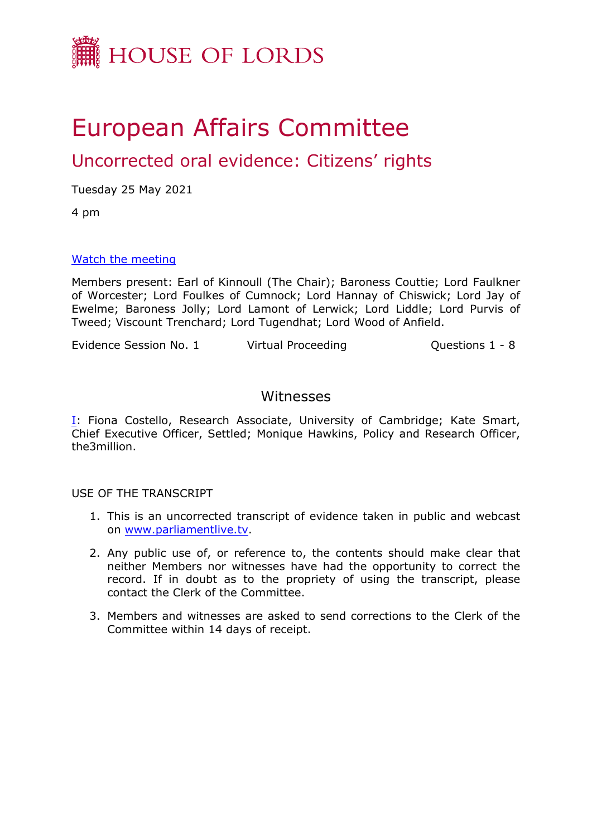

# European Affairs Committee

## Uncorrected oral evidence: Citizens' rights

Tuesday 25 May 2021

4 pm

#### [Watch](https://www.parliamentlive.tv/Event/Index/d4cfcc26-8c12-4f88-9600-5cc315fdfc76) [the](https://www.parliamentlive.tv/Event/Index/d4cfcc26-8c12-4f88-9600-5cc315fdfc76) [meeting](https://www.parliamentlive.tv/Event/Index/d4cfcc26-8c12-4f88-9600-5cc315fdfc76)

Members present: Earl of Kinnoull (The Chair); Baroness Couttie; Lord Faulkner of Worcester; Lord Foulkes of Cumnock; Lord Hannay of Chiswick; Lord Jay of Ewelme; Baroness Jolly; Lord Lamont of Lerwick; Lord Liddle; Lord Purvis of Tweed; Viscount Trenchard; Lord Tugendhat; Lord Wood of Anfield.

Evidence Session No. 1 Virtual Proceeding Connections 1 - 8

#### Witnesses

[I:](#page-1-0) Fiona Costello, Research Associate, University of Cambridge; Kate Smart, Chief Executive Officer, Settled; Monique Hawkins, Policy and Research Officer, the3million.

USE OF THE TRANSCRIPT

- 1. This is an uncorrected transcript of evidence taken in public and webcast on [www.parliamentlive.tv.](http://www.parliamentlive.tv/)
- 2. Any public use of, or reference to, the contents should make clear that neither Members nor witnesses have had the opportunity to correct the record. If in doubt as to the propriety of using the transcript, please contact the Clerk of the Committee.
- 3. Members and witnesses are asked to send corrections to the Clerk of the Committee within 14 days of receipt.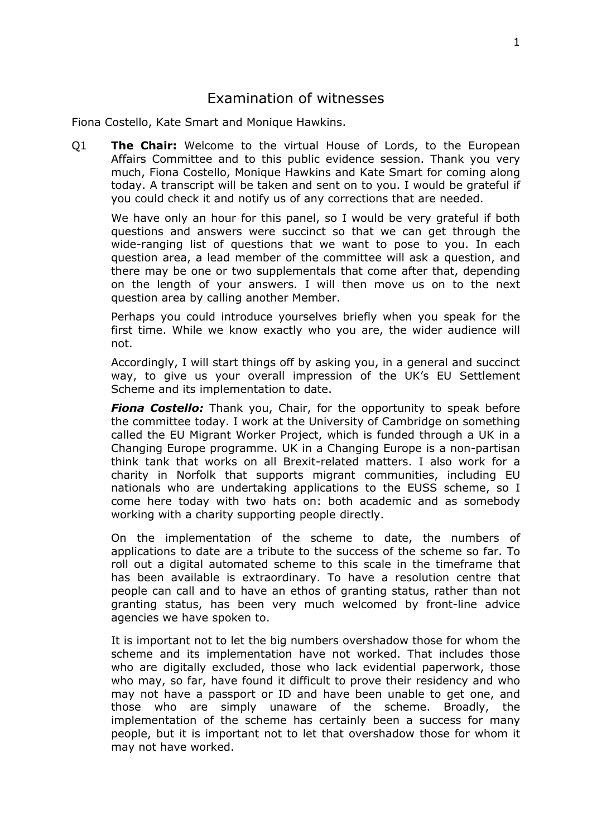### <span id="page-1-0"></span>Examination of witnesses

Fiona Costello, Kate Smart and Monique Hawkins.

Q1 **The Chair:** Welcome to the virtual House of Lords, to the European Affairs Committee and to this public evidence session. Thank you very much, Fiona Costello, Monique Hawkins and Kate Smart for coming along today. A transcript will be taken and sent on to you. I would be grateful if you could check it and notify us of any corrections that are needed.

We have only an hour for this panel, so I would be very grateful if both questions and answers were succinct so that we can get through the wide-ranging list of questions that we want to pose to you. In each question area, a lead member of the committee will ask a question, and there may be one or two supplementals that come after that, depending on the length of your answers. I will then move us on to the next question area by calling another Member.

Perhaps you could introduce yourselves briefly when you speak for the first time. While we know exactly who you are, the wider audience will not.

Accordingly, I will start things off by asking you, in a general and succinct way, to give us your overall impression of the UK's EU Settlement Scheme and its implementation to date.

*Fiona Costello:* Thank you, Chair, for the opportunity to speak before the committee today. I work at the University of Cambridge on something called the EU Migrant Worker Project, which is funded through a UK in a Changing Europe programme. UK in a Changing Europe is a non-partisan think tank that works on all Brexit-related matters. I also work for a charity in Norfolk that supports migrant communities, including EU nationals who are undertaking applications to the EUSS scheme, so I come here today with two hats on: both academic and as somebody working with a charity supporting people directly.

On the implementation of the scheme to date, the numbers of applications to date are a tribute to the success of the scheme so far. To roll out a digital automated scheme to this scale in the timeframe that has been available is extraordinary. To have a resolution centre that people can call and to have an ethos of granting status, rather than not granting status, has been very much welcomed by front-line advice agencies we have spoken to.

It is important not to let the big numbers overshadow those for whom the scheme and its implementation have not worked. That includes those who are digitally excluded, those who lack evidential paperwork, those who may, so far, have found it difficult to prove their residency and who may not have a passport or ID and have been unable to get one, and those who are simply unaware of the scheme. Broadly, the implementation of the scheme has certainly been a success for many people, but it is important not to let that overshadow those for whom it may not have worked.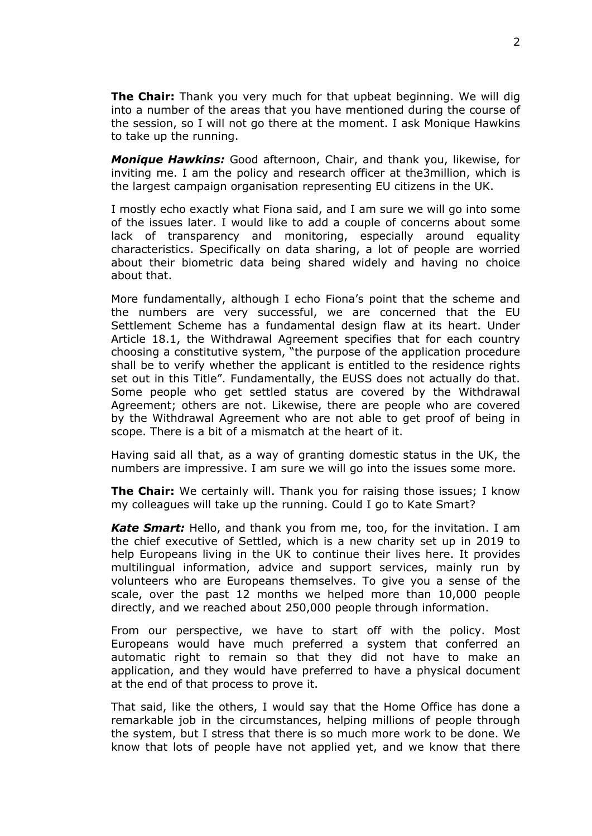**The Chair:** Thank you very much for that upbeat beginning. We will dig into a number of the areas that you have mentioned during the course of the session, so I will not go there at the moment. I ask Monique Hawkins to take up the running.

*Monique Hawkins:* Good afternoon, Chair, and thank you, likewise, for inviting me. I am the policy and research officer at the3million, which is the largest campaign organisation representing EU citizens in the UK.

I mostly echo exactly what Fiona said, and I am sure we will go into some of the issues later. I would like to add a couple of concerns about some lack of transparency and monitoring, especially around equality characteristics. Specifically on data sharing, a lot of people are worried about their biometric data being shared widely and having no choice about that.

More fundamentally, although I echo Fiona's point that the scheme and the numbers are very successful, we are concerned that the EU Settlement Scheme has a fundamental design flaw at its heart. Under Article 18.1, the Withdrawal Agreement specifies that for each country choosing a constitutive system, "the purpose of the application procedure shall be to verify whether the applicant is entitled to the residence rights set out in this Title". Fundamentally, the EUSS does not actually do that. Some people who get settled status are covered by the Withdrawal Agreement; others are not. Likewise, there are people who are covered by the Withdrawal Agreement who are not able to get proof of being in scope. There is a bit of a mismatch at the heart of it.

Having said all that, as a way of granting domestic status in the UK, the numbers are impressive. I am sure we will go into the issues some more.

**The Chair:** We certainly will. Thank you for raising those issues; I know my colleagues will take up the running. Could I go to Kate Smart?

*Kate Smart:* Hello, and thank you from me, too, for the invitation. I am the chief executive of Settled, which is a new charity set up in 2019 to help Europeans living in the UK to continue their lives here. It provides multilingual information, advice and support services, mainly run by volunteers who are Europeans themselves. To give you a sense of the scale, over the past 12 months we helped more than 10,000 people directly, and we reached about 250,000 people through information.

From our perspective, we have to start off with the policy. Most Europeans would have much preferred a system that conferred an automatic right to remain so that they did not have to make an application, and they would have preferred to have a physical document at the end of that process to prove it.

That said, like the others, I would say that the Home Office has done a remarkable job in the circumstances, helping millions of people through the system, but I stress that there is so much more work to be done. We know that lots of people have not applied yet, and we know that there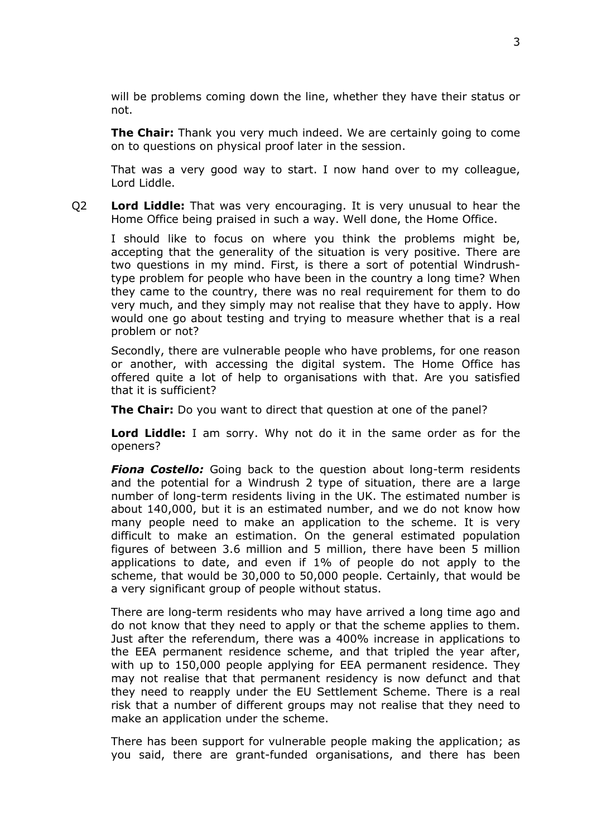will be problems coming down the line, whether they have their status or not.

**The Chair:** Thank you very much indeed. We are certainly going to come on to questions on physical proof later in the session.

That was a very good way to start. I now hand over to my colleague, Lord Liddle.

Q2 **Lord Liddle:** That was very encouraging. It is very unusual to hear the Home Office being praised in such a way. Well done, the Home Office.

I should like to focus on where you think the problems might be, accepting that the generality of the situation is very positive. There are two questions in my mind. First, is there a sort of potential Windrushtype problem for people who have been in the country a long time? When they came to the country, there was no real requirement for them to do very much, and they simply may not realise that they have to apply. How would one go about testing and trying to measure whether that is a real problem or not?

Secondly, there are vulnerable people who have problems, for one reason or another, with accessing the digital system. The Home Office has offered quite a lot of help to organisations with that. Are you satisfied that it is sufficient?

**The Chair:** Do you want to direct that question at one of the panel?

**Lord Liddle:** I am sorry. Why not do it in the same order as for the openers?

*Fiona Costello:* Going back to the question about long-term residents and the potential for a Windrush 2 type of situation, there are a large number of long-term residents living in the UK. The estimated number is about 140,000, but it is an estimated number, and we do not know how many people need to make an application to the scheme. It is very difficult to make an estimation. On the general estimated population figures of between 3.6 million and 5 million, there have been 5 million applications to date, and even if 1% of people do not apply to the scheme, that would be 30,000 to 50,000 people. Certainly, that would be a very significant group of people without status.

There are long-term residents who may have arrived a long time ago and do not know that they need to apply or that the scheme applies to them. Just after the referendum, there was a 400% increase in applications to the EEA permanent residence scheme, and that tripled the year after, with up to 150,000 people applying for EEA permanent residence. They may not realise that that permanent residency is now defunct and that they need to reapply under the EU Settlement Scheme. There is a real risk that a number of different groups may not realise that they need to make an application under the scheme.

There has been support for vulnerable people making the application; as you said, there are grant-funded organisations, and there has been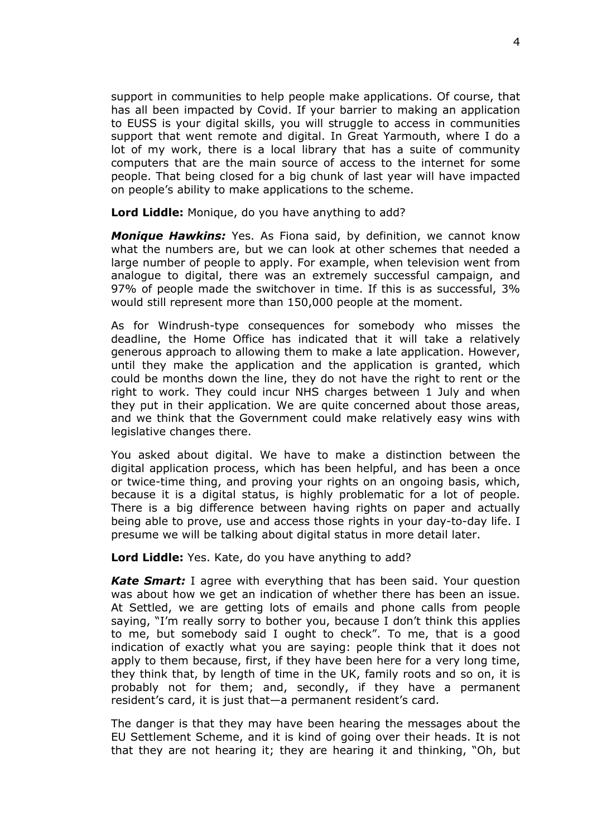support in communities to help people make applications. Of course, that has all been impacted by Covid. If your barrier to making an application to EUSS is your digital skills, you will struggle to access in communities support that went remote and digital. In Great Yarmouth, where I do a lot of my work, there is a local library that has a suite of community computers that are the main source of access to the internet for some people. That being closed for a big chunk of last year will have impacted on people's ability to make applications to the scheme.

**Lord Liddle:** Monique, do you have anything to add?

*Monique Hawkins:* Yes. As Fiona said, by definition, we cannot know what the numbers are, but we can look at other schemes that needed a large number of people to apply. For example, when television went from analogue to digital, there was an extremely successful campaign, and 97% of people made the switchover in time. If this is as successful, 3% would still represent more than 150,000 people at the moment.

As for Windrush-type consequences for somebody who misses the deadline, the Home Office has indicated that it will take a relatively generous approach to allowing them to make a late application. However, until they make the application and the application is granted, which could be months down the line, they do not have the right to rent or the right to work. They could incur NHS charges between 1 July and when they put in their application. We are quite concerned about those areas, and we think that the Government could make relatively easy wins with legislative changes there.

You asked about digital. We have to make a distinction between the digital application process, which has been helpful, and has been a once or twice-time thing, and proving your rights on an ongoing basis, which, because it is a digital status, is highly problematic for a lot of people. There is a big difference between having rights on paper and actually being able to prove, use and access those rights in your day-to-day life. I presume we will be talking about digital status in more detail later.

**Lord Liddle:** Yes. Kate, do you have anything to add?

*Kate Smart:* I agree with everything that has been said. Your question was about how we get an indication of whether there has been an issue. At Settled, we are getting lots of emails and phone calls from people saying, "I'm really sorry to bother you, because I don't think this applies to me, but somebody said I ought to check". To me, that is a good indication of exactly what you are saying: people think that it does not apply to them because, first, if they have been here for a very long time, they think that, by length of time in the UK, family roots and so on, it is probably not for them; and, secondly, if they have a permanent resident's card, it is just that—a permanent resident's card.

The danger is that they may have been hearing the messages about the EU Settlement Scheme, and it is kind of going over their heads. It is not that they are not hearing it; they are hearing it and thinking, "Oh, but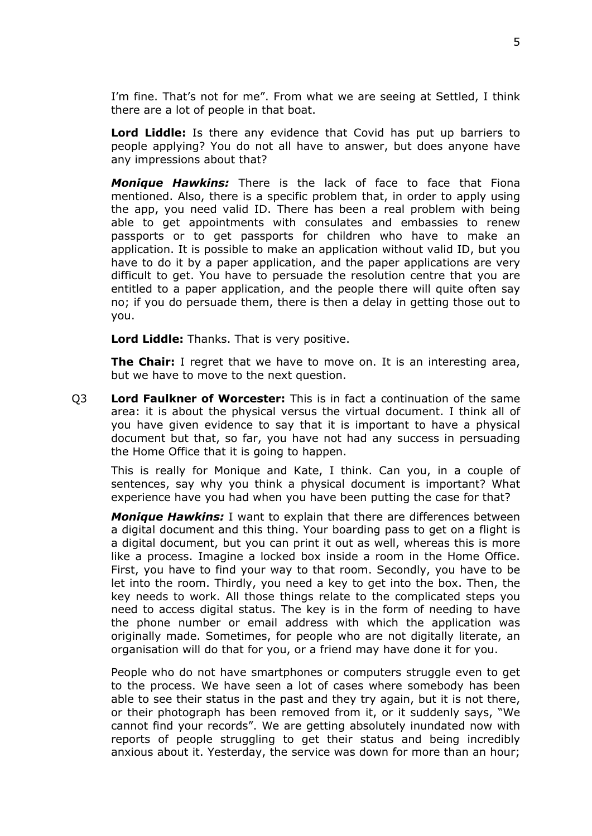I'm fine. That's not for me". From what we are seeing at Settled, I think there are a lot of people in that boat.

**Lord Liddle:** Is there any evidence that Covid has put up barriers to people applying? You do not all have to answer, but does anyone have any impressions about that?

*Monique Hawkins:* There is the lack of face to face that Fiona mentioned. Also, there is a specific problem that, in order to apply using the app, you need valid ID. There has been a real problem with being able to get appointments with consulates and embassies to renew passports or to get passports for children who have to make an application. It is possible to make an application without valid ID, but you have to do it by a paper application, and the paper applications are very difficult to get. You have to persuade the resolution centre that you are entitled to a paper application, and the people there will quite often say no; if you do persuade them, there is then a delay in getting those out to you.

**Lord Liddle:** Thanks. That is very positive.

**The Chair:** I regret that we have to move on. It is an interesting area, but we have to move to the next question.

Q3 **Lord Faulkner of Worcester:** This is in fact a continuation of the same area: it is about the physical versus the virtual document. I think all of you have given evidence to say that it is important to have a physical document but that, so far, you have not had any success in persuading the Home Office that it is going to happen.

This is really for Monique and Kate, I think. Can you, in a couple of sentences, say why you think a physical document is important? What experience have you had when you have been putting the case for that?

*Monique Hawkins:* I want to explain that there are differences between a digital document and this thing. Your boarding pass to get on a flight is a digital document, but you can print it out as well, whereas this is more like a process. Imagine a locked box inside a room in the Home Office. First, you have to find your way to that room. Secondly, you have to be let into the room. Thirdly, you need a key to get into the box. Then, the key needs to work. All those things relate to the complicated steps you need to access digital status. The key is in the form of needing to have the phone number or email address with which the application was originally made. Sometimes, for people who are not digitally literate, an organisation will do that for you, or a friend may have done it for you.

People who do not have smartphones or computers struggle even to get to the process. We have seen a lot of cases where somebody has been able to see their status in the past and they try again, but it is not there, or their photograph has been removed from it, or it suddenly says, "We cannot find your records". We are getting absolutely inundated now with reports of people struggling to get their status and being incredibly anxious about it. Yesterday, the service was down for more than an hour;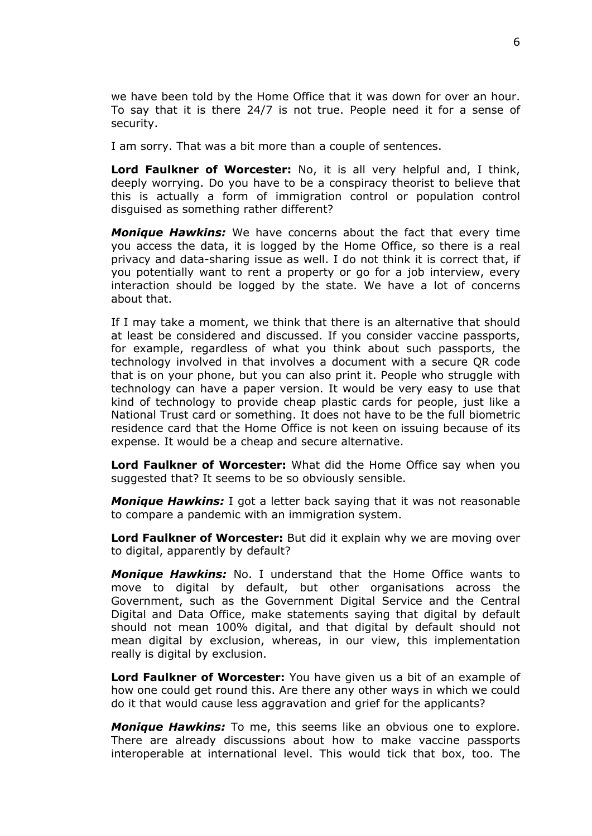we have been told by the Home Office that it was down for over an hour. To say that it is there 24/7 is not true. People need it for a sense of security.

I am sorry. That was a bit more than a couple of sentences.

**Lord Faulkner of Worcester:** No, it is all very helpful and, I think, deeply worrying. Do you have to be a conspiracy theorist to believe that this is actually a form of immigration control or population control disguised as something rather different?

*Monique Hawkins:* We have concerns about the fact that every time you access the data, it is logged by the Home Office, so there is a real privacy and data-sharing issue as well. I do not think it is correct that, if you potentially want to rent a property or go for a job interview, every interaction should be logged by the state. We have a lot of concerns about that.

If I may take a moment, we think that there is an alternative that should at least be considered and discussed. If you consider vaccine passports, for example, regardless of what you think about such passports, the technology involved in that involves a document with a secure QR code that is on your phone, but you can also print it. People who struggle with technology can have a paper version. It would be very easy to use that kind of technology to provide cheap plastic cards for people, just like a National Trust card or something. It does not have to be the full biometric residence card that the Home Office is not keen on issuing because of its expense. It would be a cheap and secure alternative.

**Lord Faulkner of Worcester:** What did the Home Office say when you suggested that? It seems to be so obviously sensible.

*Monique Hawkins:* I got a letter back saying that it was not reasonable to compare a pandemic with an immigration system.

**Lord Faulkner of Worcester:** But did it explain why we are moving over to digital, apparently by default?

*Monique Hawkins:* No. I understand that the Home Office wants to move to digital by default, but other organisations across the Government, such as the Government Digital Service and the Central Digital and Data Office, make statements saying that digital by default should not mean 100% digital, and that digital by default should not mean digital by exclusion, whereas, in our view, this implementation really is digital by exclusion.

**Lord Faulkner of Worcester:** You have given us a bit of an example of how one could get round this. Are there any other ways in which we could do it that would cause less aggravation and grief for the applicants?

*Monique Hawkins:* To me, this seems like an obvious one to explore. There are already discussions about how to make vaccine passports interoperable at international level. This would tick that box, too. The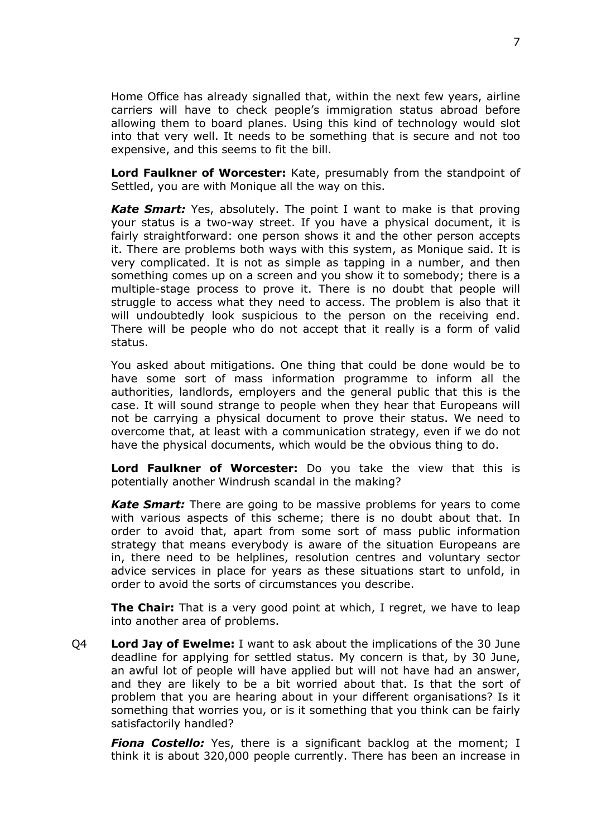Home Office has already signalled that, within the next few years, airline carriers will have to check people's immigration status abroad before allowing them to board planes. Using this kind of technology would slot into that very well. It needs to be something that is secure and not too expensive, and this seems to fit the bill.

**Lord Faulkner of Worcester:** Kate, presumably from the standpoint of Settled, you are with Monique all the way on this.

*Kate Smart:* Yes, absolutely. The point I want to make is that proving your status is a two-way street. If you have a physical document, it is fairly straightforward: one person shows it and the other person accepts it. There are problems both ways with this system, as Monique said. It is very complicated. It is not as simple as tapping in a number, and then something comes up on a screen and you show it to somebody; there is a multiple-stage process to prove it. There is no doubt that people will struggle to access what they need to access. The problem is also that it will undoubtedly look suspicious to the person on the receiving end. There will be people who do not accept that it really is a form of valid status.

You asked about mitigations. One thing that could be done would be to have some sort of mass information programme to inform all the authorities, landlords, employers and the general public that this is the case. It will sound strange to people when they hear that Europeans will not be carrying a physical document to prove their status. We need to overcome that, at least with a communication strategy, even if we do not have the physical documents, which would be the obvious thing to do.

**Lord Faulkner of Worcester:** Do you take the view that this is potentially another Windrush scandal in the making?

*Kate Smart:* There are going to be massive problems for years to come with various aspects of this scheme; there is no doubt about that. In order to avoid that, apart from some sort of mass public information strategy that means everybody is aware of the situation Europeans are in, there need to be helplines, resolution centres and voluntary sector advice services in place for years as these situations start to unfold, in order to avoid the sorts of circumstances you describe.

**The Chair:** That is a very good point at which, I regret, we have to leap into another area of problems.

Q4 **Lord Jay of Ewelme:** I want to ask about the implications of the 30 June deadline for applying for settled status. My concern is that, by 30 June, an awful lot of people will have applied but will not have had an answer, and they are likely to be a bit worried about that. Is that the sort of problem that you are hearing about in your different organisations? Is it something that worries you, or is it something that you think can be fairly satisfactorily handled?

*Fiona Costello:* Yes, there is a significant backlog at the moment; I think it is about 320,000 people currently. There has been an increase in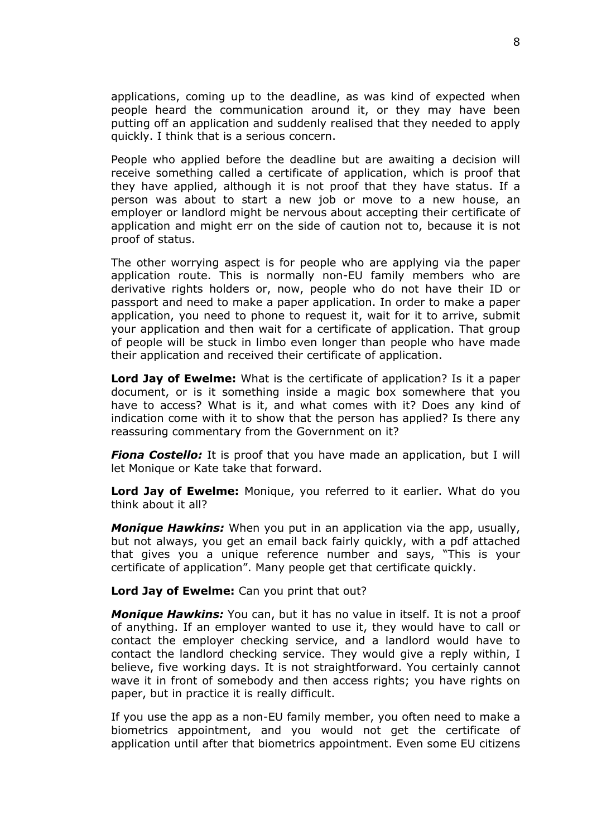applications, coming up to the deadline, as was kind of expected when people heard the communication around it, or they may have been putting off an application and suddenly realised that they needed to apply quickly. I think that is a serious concern.

People who applied before the deadline but are awaiting a decision will receive something called a certificate of application, which is proof that they have applied, although it is not proof that they have status. If a person was about to start a new job or move to a new house, an employer or landlord might be nervous about accepting their certificate of application and might err on the side of caution not to, because it is not proof of status.

The other worrying aspect is for people who are applying via the paper application route. This is normally non-EU family members who are derivative rights holders or, now, people who do not have their ID or passport and need to make a paper application. In order to make a paper application, you need to phone to request it, wait for it to arrive, submit your application and then wait for a certificate of application. That group of people will be stuck in limbo even longer than people who have made their application and received their certificate of application.

**Lord Jay of Ewelme:** What is the certificate of application? Is it a paper document, or is it something inside a magic box somewhere that you have to access? What is it, and what comes with it? Does any kind of indication come with it to show that the person has applied? Is there any reassuring commentary from the Government on it?

*Fiona Costello:* It is proof that you have made an application, but I will let Monique or Kate take that forward.

**Lord Jay of Ewelme:** Monique, you referred to it earlier. What do you think about it all?

*Monique Hawkins:* When you put in an application via the app, usually, but not always, you get an email back fairly quickly, with a pdf attached that gives you a unique reference number and says, "This is your certificate of application". Many people get that certificate quickly.

**Lord Jay of Ewelme:** Can you print that out?

*Monique Hawkins:* You can, but it has no value in itself. It is not a proof of anything. If an employer wanted to use it, they would have to call or contact the employer checking service, and a landlord would have to contact the landlord checking service. They would give a reply within, I believe, five working days. It is not straightforward. You certainly cannot wave it in front of somebody and then access rights; you have rights on paper, but in practice it is really difficult.

If you use the app as a non-EU family member, you often need to make a biometrics appointment, and you would not get the certificate of application until after that biometrics appointment. Even some EU citizens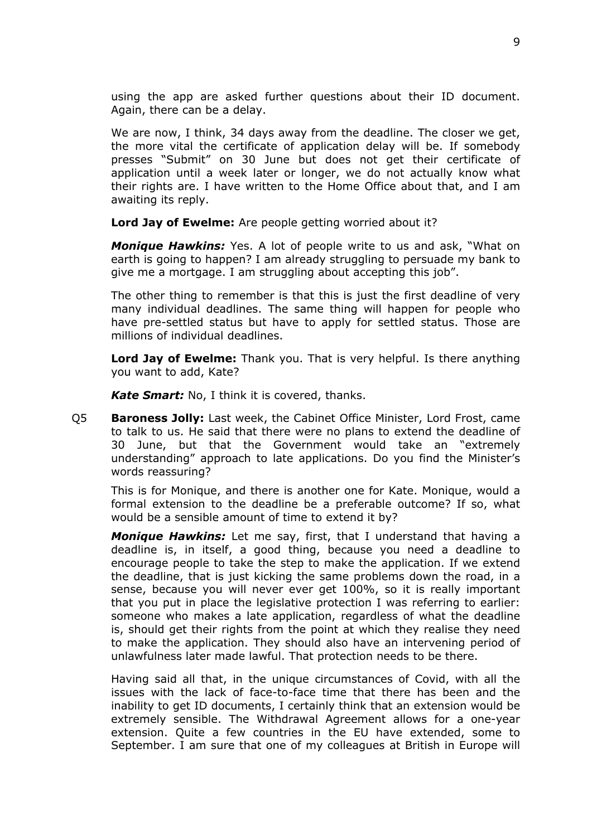using the app are asked further questions about their ID document. Again, there can be a delay.

We are now, I think, 34 days away from the deadline. The closer we get, the more vital the certificate of application delay will be. If somebody presses "Submit" on 30 June but does not get their certificate of application until a week later or longer, we do not actually know what their rights are. I have written to the Home Office about that, and I am awaiting its reply.

**Lord Jay of Ewelme:** Are people getting worried about it?

*Monique Hawkins:* Yes. A lot of people write to us and ask, "What on earth is going to happen? I am already struggling to persuade my bank to give me a mortgage. I am struggling about accepting this job".

The other thing to remember is that this is just the first deadline of very many individual deadlines. The same thing will happen for people who have pre-settled status but have to apply for settled status. Those are millions of individual deadlines.

**Lord Jay of Ewelme:** Thank you. That is very helpful. Is there anything you want to add, Kate?

*Kate Smart:* No, I think it is covered, thanks.

Q5 **Baroness Jolly:** Last week, the Cabinet Office Minister, Lord Frost, came to talk to us. He said that there were no plans to extend the deadline of 30 June, but that the Government would take an "extremely understanding" approach to late applications. Do you find the Minister's words reassuring?

This is for Monique, and there is another one for Kate. Monique, would a formal extension to the deadline be a preferable outcome? If so, what would be a sensible amount of time to extend it by?

*Monique Hawkins:* Let me say, first, that I understand that having a deadline is, in itself, a good thing, because you need a deadline to encourage people to take the step to make the application. If we extend the deadline, that is just kicking the same problems down the road, in a sense, because you will never ever get 100%, so it is really important that you put in place the legislative protection I was referring to earlier: someone who makes a late application, regardless of what the deadline is, should get their rights from the point at which they realise they need to make the application. They should also have an intervening period of unlawfulness later made lawful. That protection needs to be there.

Having said all that, in the unique circumstances of Covid, with all the issues with the lack of face-to-face time that there has been and the inability to get ID documents, I certainly think that an extension would be extremely sensible. The Withdrawal Agreement allows for a one-year extension. Quite a few countries in the EU have extended, some to September. I am sure that one of my colleagues at British in Europe will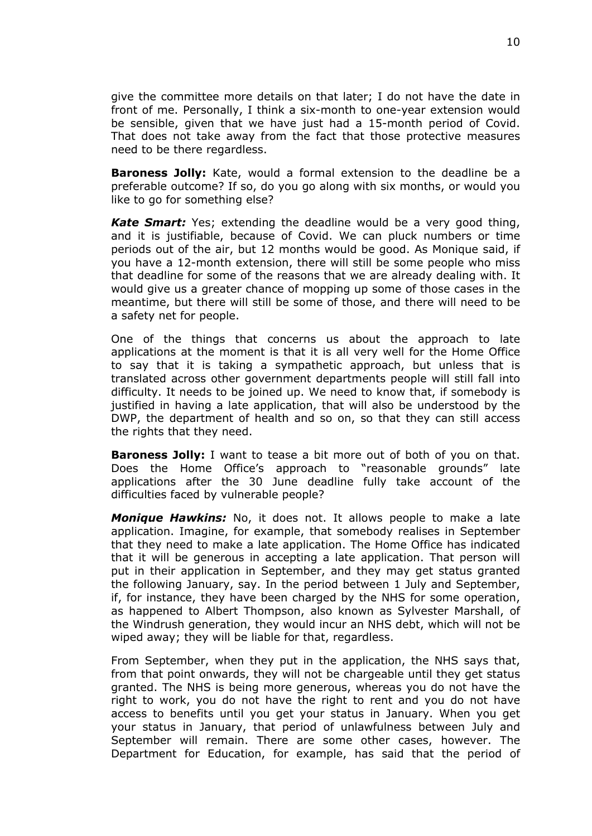give the committee more details on that later; I do not have the date in front of me. Personally, I think a six-month to one-year extension would be sensible, given that we have just had a 15-month period of Covid. That does not take away from the fact that those protective measures need to be there regardless.

**Baroness Jolly:** Kate, would a formal extension to the deadline be a preferable outcome? If so, do you go along with six months, or would you like to go for something else?

*Kate Smart:* Yes; extending the deadline would be a very good thing, and it is justifiable, because of Covid. We can pluck numbers or time periods out of the air, but 12 months would be good. As Monique said, if you have a 12-month extension, there will still be some people who miss that deadline for some of the reasons that we are already dealing with. It would give us a greater chance of mopping up some of those cases in the meantime, but there will still be some of those, and there will need to be a safety net for people.

One of the things that concerns us about the approach to late applications at the moment is that it is all very well for the Home Office to say that it is taking a sympathetic approach, but unless that is translated across other government departments people will still fall into difficulty. It needs to be joined up. We need to know that, if somebody is justified in having a late application, that will also be understood by the DWP, the department of health and so on, so that they can still access the rights that they need.

**Baroness Jolly:** I want to tease a bit more out of both of you on that. Does the Home Office's approach to "reasonable grounds" late applications after the 30 June deadline fully take account of the difficulties faced by vulnerable people?

*Monique Hawkins:* No, it does not. It allows people to make a late application. Imagine, for example, that somebody realises in September that they need to make a late application. The Home Office has indicated that it will be generous in accepting a late application. That person will put in their application in September, and they may get status granted the following January, say. In the period between 1 July and September, if, for instance, they have been charged by the NHS for some operation, as happened to Albert Thompson, also known as Sylvester Marshall, of the Windrush generation, they would incur an NHS debt, which will not be wiped away; they will be liable for that, regardless.

From September, when they put in the application, the NHS says that, from that point onwards, they will not be chargeable until they get status granted. The NHS is being more generous, whereas you do not have the right to work, you do not have the right to rent and you do not have access to benefits until you get your status in January. When you get your status in January, that period of unlawfulness between July and September will remain. There are some other cases, however. The Department for Education, for example, has said that the period of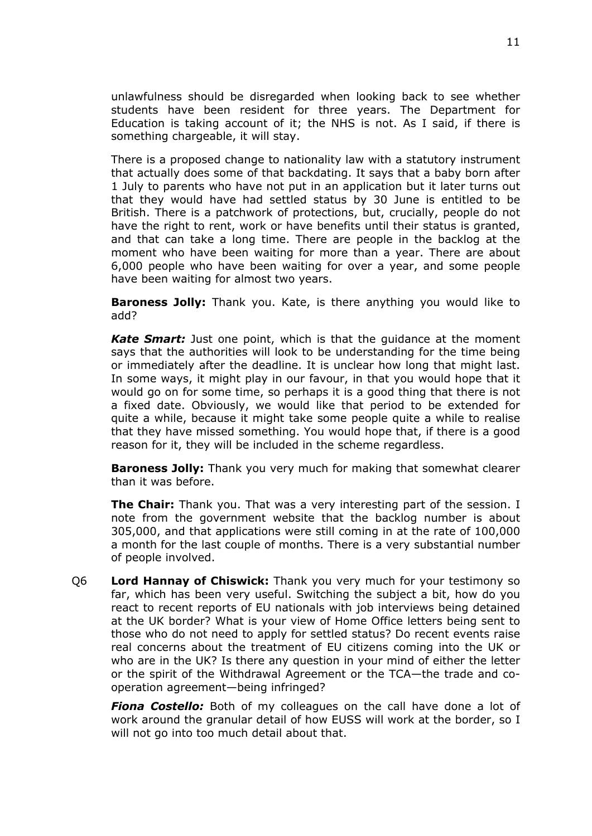unlawfulness should be disregarded when looking back to see whether students have been resident for three years. The Department for Education is taking account of it; the NHS is not. As I said, if there is something chargeable, it will stay.

There is a proposed change to nationality law with a statutory instrument that actually does some of that backdating. It says that a baby born after 1 July to parents who have not put in an application but it later turns out that they would have had settled status by 30 June is entitled to be British. There is a patchwork of protections, but, crucially, people do not have the right to rent, work or have benefits until their status is granted, and that can take a long time. There are people in the backlog at the moment who have been waiting for more than a year. There are about 6,000 people who have been waiting for over a year, and some people have been waiting for almost two years.

**Baroness Jolly:** Thank you. Kate, is there anything you would like to add?

*Kate Smart:* Just one point, which is that the guidance at the moment says that the authorities will look to be understanding for the time being or immediately after the deadline. It is unclear how long that might last. In some ways, it might play in our favour, in that you would hope that it would go on for some time, so perhaps it is a good thing that there is not a fixed date. Obviously, we would like that period to be extended for quite a while, because it might take some people quite a while to realise that they have missed something. You would hope that, if there is a good reason for it, they will be included in the scheme regardless.

**Baroness Jolly:** Thank you very much for making that somewhat clearer than it was before.

**The Chair:** Thank you. That was a very interesting part of the session. I note from the government website that the backlog number is about 305,000, and that applications were still coming in at the rate of 100,000 a month for the last couple of months. There is a very substantial number of people involved.

Q6 **Lord Hannay of Chiswick:** Thank you very much for your testimony so far, which has been very useful. Switching the subject a bit, how do you react to recent reports of EU nationals with job interviews being detained at the UK border? What is your view of Home Office letters being sent to those who do not need to apply for settled status? Do recent events raise real concerns about the treatment of EU citizens coming into the UK or who are in the UK? Is there any question in your mind of either the letter or the spirit of the Withdrawal Agreement or the TCA—the trade and cooperation agreement—being infringed?

*Fiona Costello:* Both of my colleagues on the call have done a lot of work around the granular detail of how EUSS will work at the border, so I will not go into too much detail about that.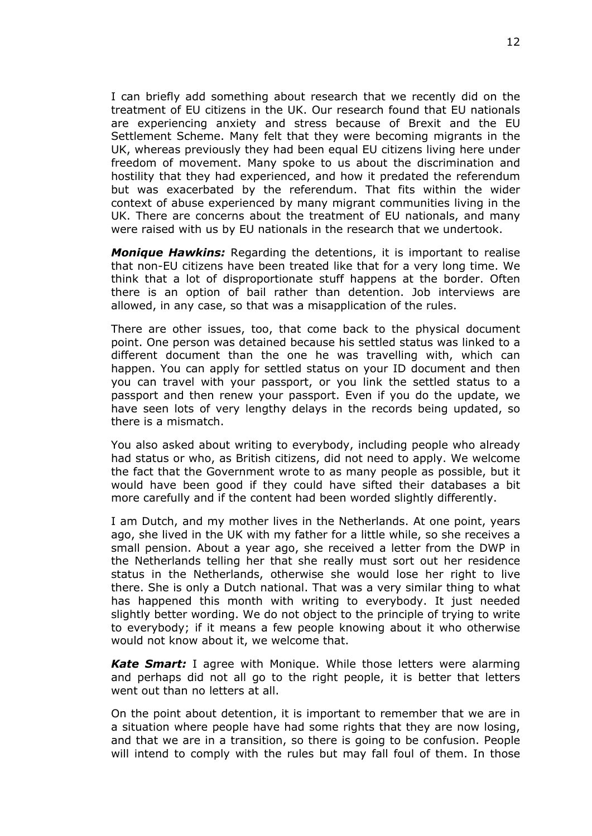I can briefly add something about research that we recently did on the treatment of EU citizens in the UK. Our research found that EU nationals are experiencing anxiety and stress because of Brexit and the EU Settlement Scheme. Many felt that they were becoming migrants in the UK, whereas previously they had been equal EU citizens living here under freedom of movement. Many spoke to us about the discrimination and hostility that they had experienced, and how it predated the referendum but was exacerbated by the referendum. That fits within the wider context of abuse experienced by many migrant communities living in the UK. There are concerns about the treatment of EU nationals, and many were raised with us by EU nationals in the research that we undertook.

*Monique Hawkins:* Regarding the detentions, it is important to realise that non-EU citizens have been treated like that for a very long time. We think that a lot of disproportionate stuff happens at the border. Often there is an option of bail rather than detention. Job interviews are allowed, in any case, so that was a misapplication of the rules.

There are other issues, too, that come back to the physical document point. One person was detained because his settled status was linked to a different document than the one he was travelling with, which can happen. You can apply for settled status on your ID document and then you can travel with your passport, or you link the settled status to a passport and then renew your passport. Even if you do the update, we have seen lots of very lengthy delays in the records being updated, so there is a mismatch.

You also asked about writing to everybody, including people who already had status or who, as British citizens, did not need to apply. We welcome the fact that the Government wrote to as many people as possible, but it would have been good if they could have sifted their databases a bit more carefully and if the content had been worded slightly differently.

I am Dutch, and my mother lives in the Netherlands. At one point, years ago, she lived in the UK with my father for a little while, so she receives a small pension. About a year ago, she received a letter from the DWP in the Netherlands telling her that she really must sort out her residence status in the Netherlands, otherwise she would lose her right to live there. She is only a Dutch national. That was a very similar thing to what has happened this month with writing to everybody. It just needed slightly better wording. We do not object to the principle of trying to write to everybody; if it means a few people knowing about it who otherwise would not know about it, we welcome that.

*Kate Smart:* I agree with Monique. While those letters were alarming and perhaps did not all go to the right people, it is better that letters went out than no letters at all.

On the point about detention, it is important to remember that we are in a situation where people have had some rights that they are now losing, and that we are in a transition, so there is going to be confusion. People will intend to comply with the rules but may fall foul of them. In those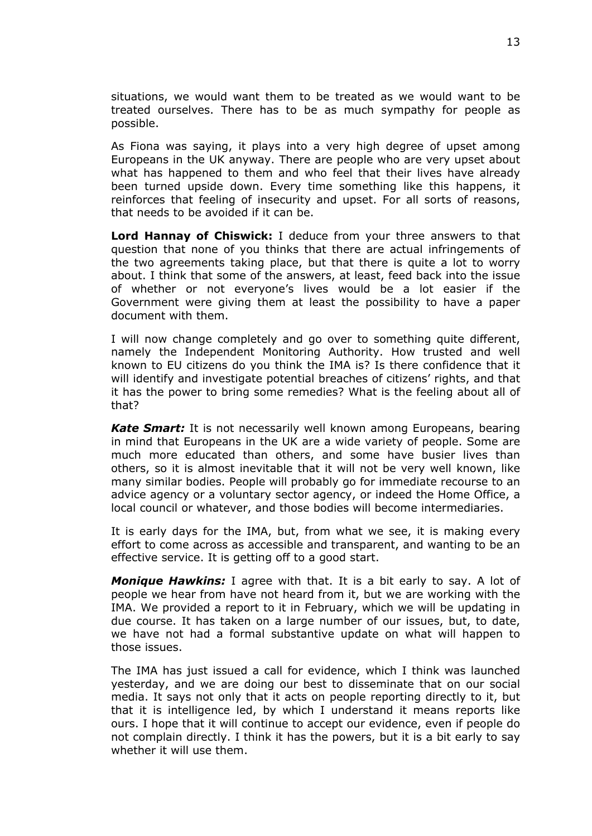situations, we would want them to be treated as we would want to be treated ourselves. There has to be as much sympathy for people as possible.

As Fiona was saying, it plays into a very high degree of upset among Europeans in the UK anyway. There are people who are very upset about what has happened to them and who feel that their lives have already been turned upside down. Every time something like this happens, it reinforces that feeling of insecurity and upset. For all sorts of reasons, that needs to be avoided if it can be.

**Lord Hannay of Chiswick:** I deduce from your three answers to that question that none of you thinks that there are actual infringements of the two agreements taking place, but that there is quite a lot to worry about. I think that some of the answers, at least, feed back into the issue of whether or not everyone's lives would be a lot easier if the Government were giving them at least the possibility to have a paper document with them.

I will now change completely and go over to something quite different, namely the Independent Monitoring Authority. How trusted and well known to EU citizens do you think the IMA is? Is there confidence that it will identify and investigate potential breaches of citizens' rights, and that it has the power to bring some remedies? What is the feeling about all of that?

*Kate Smart:* It is not necessarily well known among Europeans, bearing in mind that Europeans in the UK are a wide variety of people. Some are much more educated than others, and some have busier lives than others, so it is almost inevitable that it will not be very well known, like many similar bodies. People will probably go for immediate recourse to an advice agency or a voluntary sector agency, or indeed the Home Office, a local council or whatever, and those bodies will become intermediaries.

It is early days for the IMA, but, from what we see, it is making every effort to come across as accessible and transparent, and wanting to be an effective service. It is getting off to a good start.

*Monique Hawkins:* I agree with that. It is a bit early to say. A lot of people we hear from have not heard from it, but we are working with the IMA. We provided a report to it in February, which we will be updating in due course. It has taken on a large number of our issues, but, to date, we have not had a formal substantive update on what will happen to those issues.

The IMA has just issued a call for evidence, which I think was launched yesterday, and we are doing our best to disseminate that on our social media. It says not only that it acts on people reporting directly to it, but that it is intelligence led, by which I understand it means reports like ours. I hope that it will continue to accept our evidence, even if people do not complain directly. I think it has the powers, but it is a bit early to say whether it will use them.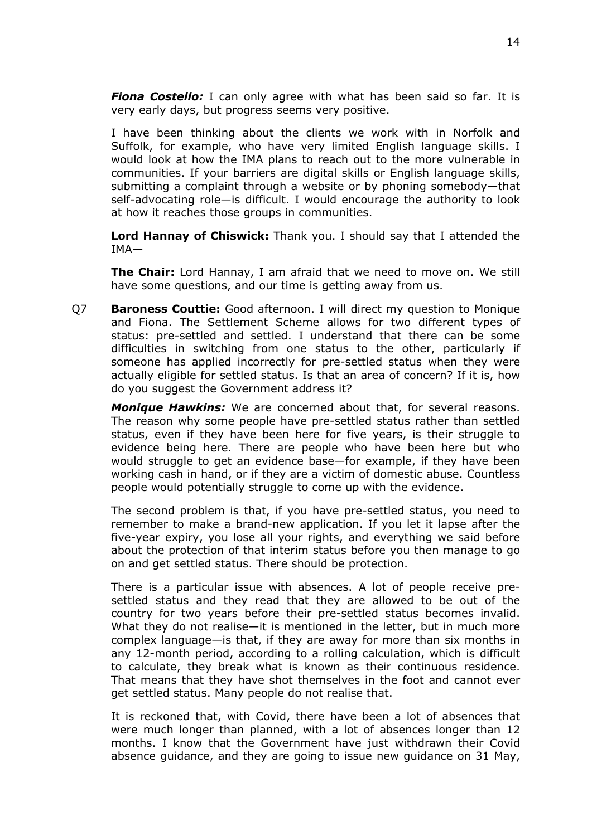*Fiona Costello:* I can only agree with what has been said so far. It is very early days, but progress seems very positive.

I have been thinking about the clients we work with in Norfolk and Suffolk, for example, who have very limited English language skills. I would look at how the IMA plans to reach out to the more vulnerable in communities. If your barriers are digital skills or English language skills, submitting a complaint through a website or by phoning somebody—that self-advocating role—is difficult. I would encourage the authority to look at how it reaches those groups in communities.

**Lord Hannay of Chiswick:** Thank you. I should say that I attended the IMA—

**The Chair:** Lord Hannay, I am afraid that we need to move on. We still have some questions, and our time is getting away from us.

Q7 **Baroness Couttie:** Good afternoon. I will direct my question to Monique and Fiona. The Settlement Scheme allows for two different types of status: pre-settled and settled. I understand that there can be some difficulties in switching from one status to the other, particularly if someone has applied incorrectly for pre-settled status when they were actually eligible for settled status. Is that an area of concern? If it is, how do you suggest the Government address it?

*Monique Hawkins:* We are concerned about that, for several reasons. The reason why some people have pre-settled status rather than settled status, even if they have been here for five years, is their struggle to evidence being here. There are people who have been here but who would struggle to get an evidence base—for example, if they have been working cash in hand, or if they are a victim of domestic abuse. Countless people would potentially struggle to come up with the evidence.

The second problem is that, if you have pre-settled status, you need to remember to make a brand-new application. If you let it lapse after the five-year expiry, you lose all your rights, and everything we said before about the protection of that interim status before you then manage to go on and get settled status. There should be protection.

There is a particular issue with absences. A lot of people receive presettled status and they read that they are allowed to be out of the country for two years before their pre-settled status becomes invalid. What they do not realise—it is mentioned in the letter, but in much more complex language—is that, if they are away for more than six months in any 12-month period, according to a rolling calculation, which is difficult to calculate, they break what is known as their continuous residence. That means that they have shot themselves in the foot and cannot ever get settled status. Many people do not realise that.

It is reckoned that, with Covid, there have been a lot of absences that were much longer than planned, with a lot of absences longer than 12 months. I know that the Government have just withdrawn their Covid absence guidance, and they are going to issue new guidance on 31 May,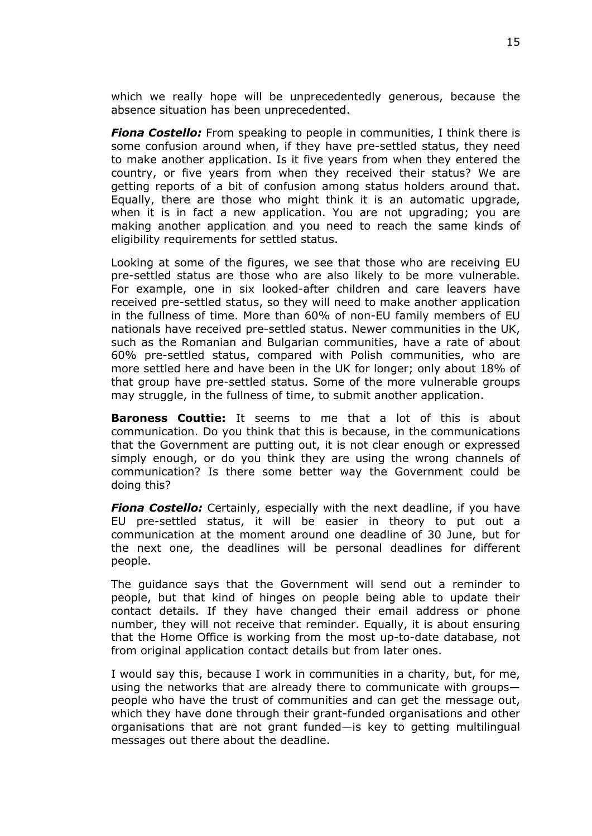which we really hope will be unprecedentedly generous, because the absence situation has been unprecedented.

*Fiona Costello:* From speaking to people in communities, I think there is some confusion around when, if they have pre-settled status, they need to make another application. Is it five years from when they entered the country, or five years from when they received their status? We are getting reports of a bit of confusion among status holders around that. Equally, there are those who might think it is an automatic upgrade, when it is in fact a new application. You are not upgrading; you are making another application and you need to reach the same kinds of eligibility requirements for settled status.

Looking at some of the figures, we see that those who are receiving EU pre-settled status are those who are also likely to be more vulnerable. For example, one in six looked-after children and care leavers have received pre-settled status, so they will need to make another application in the fullness of time. More than 60% of non-EU family members of EU nationals have received pre-settled status. Newer communities in the UK, such as the Romanian and Bulgarian communities, have a rate of about 60% pre-settled status, compared with Polish communities, who are more settled here and have been in the UK for longer; only about 18% of that group have pre-settled status. Some of the more vulnerable groups may struggle, in the fullness of time, to submit another application.

**Baroness Couttie:** It seems to me that a lot of this is about communication. Do you think that this is because, in the communications that the Government are putting out, it is not clear enough or expressed simply enough, or do you think they are using the wrong channels of communication? Is there some better way the Government could be doing this?

*Fiona Costello:* Certainly, especially with the next deadline, if you have EU pre-settled status, it will be easier in theory to put out a communication at the moment around one deadline of 30 June, but for the next one, the deadlines will be personal deadlines for different people.

The guidance says that the Government will send out a reminder to people, but that kind of hinges on people being able to update their contact details. If they have changed their email address or phone number, they will not receive that reminder. Equally, it is about ensuring that the Home Office is working from the most up-to-date database, not from original application contact details but from later ones.

I would say this, because I work in communities in a charity, but, for me, using the networks that are already there to communicate with groups people who have the trust of communities and can get the message out, which they have done through their grant-funded organisations and other organisations that are not grant funded—is key to getting multilingual messages out there about the deadline.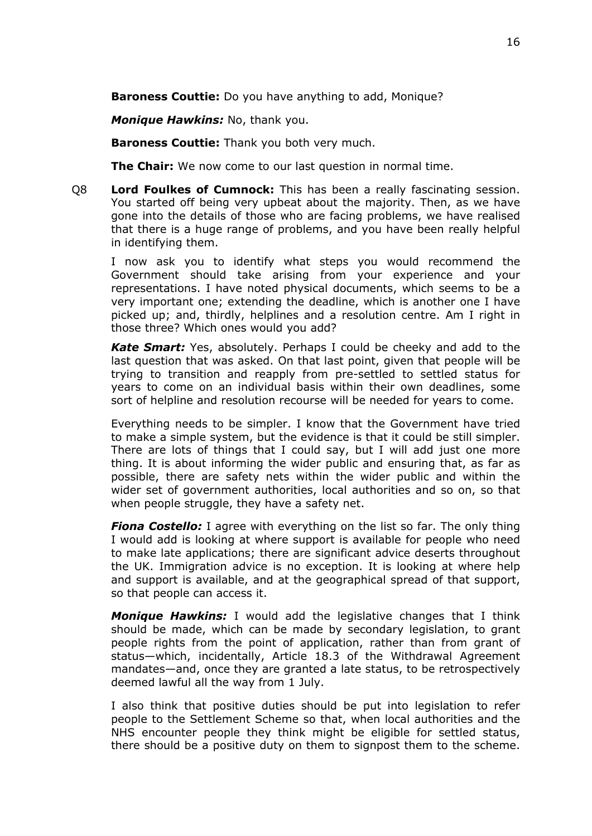**Baroness Couttie:** Do you have anything to add, Monique?

*Monique Hawkins:* No, thank you.

**Baroness Couttie:** Thank you both very much.

**The Chair:** We now come to our last question in normal time.

Q8 **Lord Foulkes of Cumnock:** This has been a really fascinating session. You started off being very upbeat about the majority. Then, as we have gone into the details of those who are facing problems, we have realised that there is a huge range of problems, and you have been really helpful in identifying them.

I now ask you to identify what steps you would recommend the Government should take arising from your experience and your representations. I have noted physical documents, which seems to be a very important one; extending the deadline, which is another one I have picked up; and, thirdly, helplines and a resolution centre. Am I right in those three? Which ones would you add?

*Kate Smart:* Yes, absolutely. Perhaps I could be cheeky and add to the last question that was asked. On that last point, given that people will be trying to transition and reapply from pre-settled to settled status for years to come on an individual basis within their own deadlines, some sort of helpline and resolution recourse will be needed for years to come.

Everything needs to be simpler. I know that the Government have tried to make a simple system, but the evidence is that it could be still simpler. There are lots of things that I could say, but I will add just one more thing. It is about informing the wider public and ensuring that, as far as possible, there are safety nets within the wider public and within the wider set of government authorities, local authorities and so on, so that when people struggle, they have a safety net.

*Fiona Costello:* I agree with everything on the list so far. The only thing I would add is looking at where support is available for people who need to make late applications; there are significant advice deserts throughout the UK. Immigration advice is no exception. It is looking at where help and support is available, and at the geographical spread of that support, so that people can access it.

*Monique Hawkins:* I would add the legislative changes that I think should be made, which can be made by secondary legislation, to grant people rights from the point of application, rather than from grant of status—which, incidentally, Article 18.3 of the Withdrawal Agreement mandates—and, once they are granted a late status, to be retrospectively deemed lawful all the way from 1 July.

I also think that positive duties should be put into legislation to refer people to the Settlement Scheme so that, when local authorities and the NHS encounter people they think might be eligible for settled status, there should be a positive duty on them to signpost them to the scheme.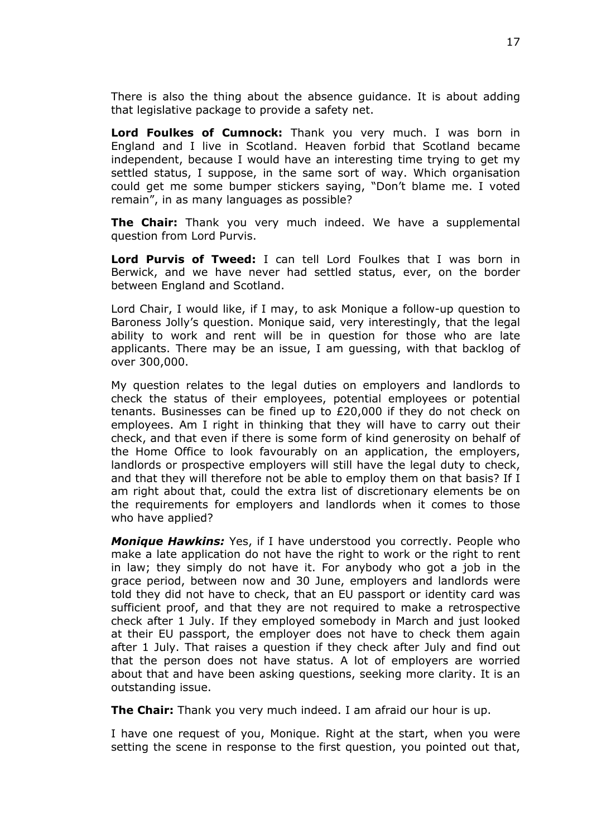There is also the thing about the absence guidance. It is about adding that legislative package to provide a safety net.

**Lord Foulkes of Cumnock:** Thank you very much. I was born in England and I live in Scotland. Heaven forbid that Scotland became independent, because I would have an interesting time trying to get my settled status, I suppose, in the same sort of way. Which organisation could get me some bumper stickers saying, "Don't blame me. I voted remain", in as many languages as possible?

**The Chair:** Thank you very much indeed. We have a supplemental question from Lord Purvis.

**Lord Purvis of Tweed:** I can tell Lord Foulkes that I was born in Berwick, and we have never had settled status, ever, on the border between England and Scotland.

Lord Chair, I would like, if I may, to ask Monique a follow-up question to Baroness Jolly's question. Monique said, very interestingly, that the legal ability to work and rent will be in question for those who are late applicants. There may be an issue, I am guessing, with that backlog of over 300,000.

My question relates to the legal duties on employers and landlords to check the status of their employees, potential employees or potential tenants. Businesses can be fined up to £20,000 if they do not check on employees. Am I right in thinking that they will have to carry out their check, and that even if there is some form of kind generosity on behalf of the Home Office to look favourably on an application, the employers, landlords or prospective employers will still have the legal duty to check, and that they will therefore not be able to employ them on that basis? If I am right about that, could the extra list of discretionary elements be on the requirements for employers and landlords when it comes to those who have applied?

*Monique Hawkins:* Yes, if I have understood you correctly. People who make a late application do not have the right to work or the right to rent in law; they simply do not have it. For anybody who got a job in the grace period, between now and 30 June, employers and landlords were told they did not have to check, that an EU passport or identity card was sufficient proof, and that they are not required to make a retrospective check after 1 July. If they employed somebody in March and just looked at their EU passport, the employer does not have to check them again after 1 July. That raises a question if they check after July and find out that the person does not have status. A lot of employers are worried about that and have been asking questions, seeking more clarity. It is an outstanding issue.

**The Chair:** Thank you very much indeed. I am afraid our hour is up.

I have one request of you, Monique. Right at the start, when you were setting the scene in response to the first question, you pointed out that,